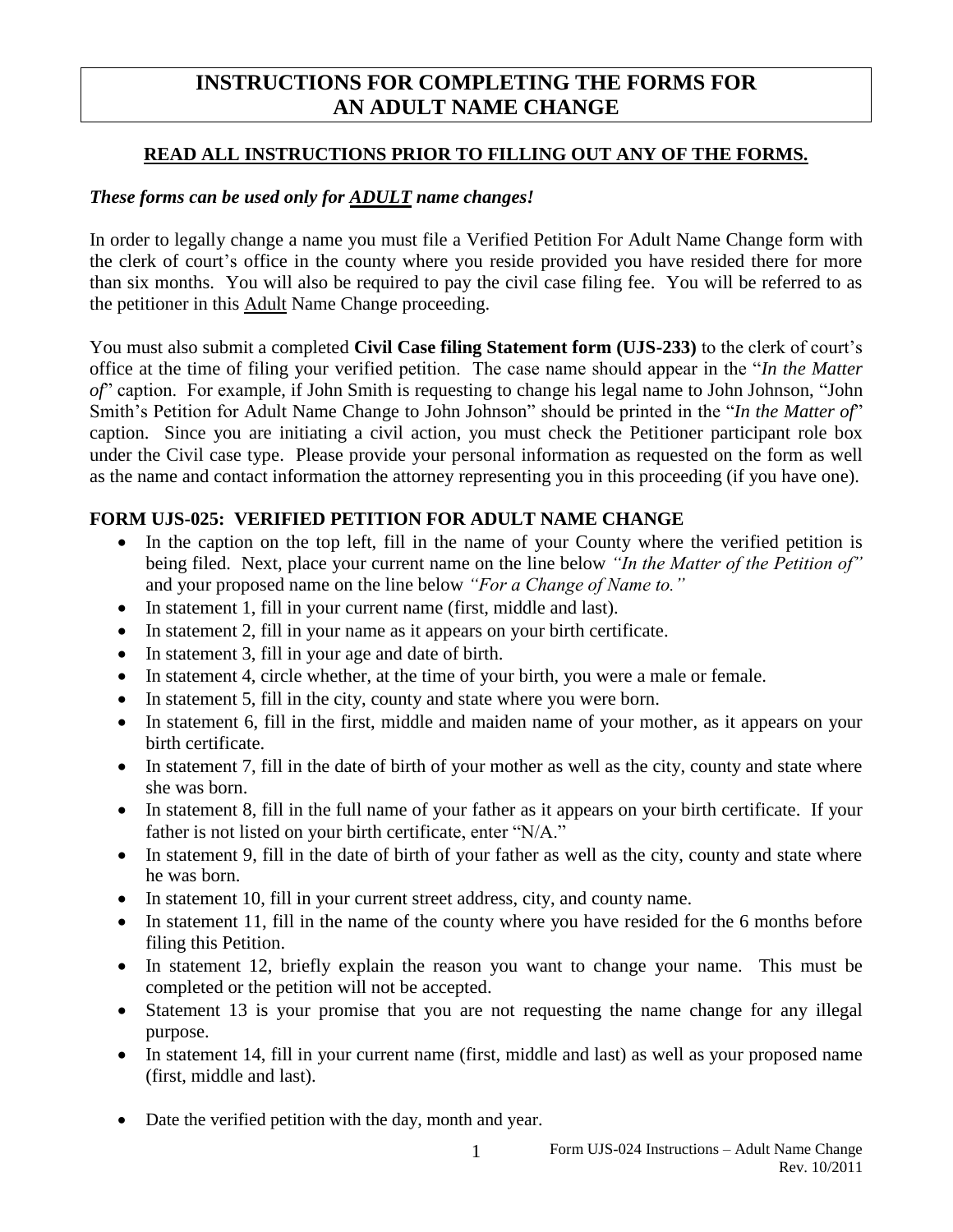# **INSTRUCTIONS FOR COMPLETING THE FORMS FOR AN ADULT NAME CHANGE**

#### **READ ALL INSTRUCTIONS PRIOR TO FILLING OUT ANY OF THE FORMS.**

## *These forms can be used only for ADULT name changes!*

In order to legally change a name you must file a Verified Petition For Adult Name Change form with the clerk of court's office in the county where you reside provided you have resided there for more than six months. You will also be required to pay the civil case filing fee. You will be referred to as the petitioner in this Adult Name Change proceeding.

You must also submit a completed **Civil Case filing Statement form (UJS-233)** to the clerk of court's office at the time of filing your verified petition. The case name should appear in the "*In the Matter of*" caption. For example, if John Smith is requesting to change his legal name to John Johnson, "John Smith's Petition for Adult Name Change to John Johnson" should be printed in the "*In the Matter of*" caption. Since you are initiating a civil action, you must check the Petitioner participant role box under the Civil case type. Please provide your personal information as requested on the form as well as the name and contact information the attorney representing you in this proceeding (if you have one).

## **FORM UJS-025: VERIFIED PETITION FOR ADULT NAME CHANGE**

- In the caption on the top left, fill in the name of your County where the verified petition is being filed. Next, place your current name on the line below *"In the Matter of the Petition of"* and your proposed name on the line below *"For a Change of Name to."*
- In statement 1, fill in your current name (first, middle and last).
- In statement 2, fill in your name as it appears on your birth certificate.
- In statement 3, fill in your age and date of birth.
- In statement 4, circle whether, at the time of your birth, you were a male or female.
- In statement 5, fill in the city, county and state where you were born.
- In statement 6, fill in the first, middle and maiden name of your mother, as it appears on your birth certificate.
- In statement 7, fill in the date of birth of your mother as well as the city, county and state where she was born.
- In statement 8, fill in the full name of your father as it appears on your birth certificate. If your father is not listed on your birth certificate, enter "N/A."
- In statement 9, fill in the date of birth of your father as well as the city, county and state where he was born.
- In statement 10, fill in your current street address, city, and county name.
- In statement 11, fill in the name of the county where you have resided for the 6 months before filing this Petition.
- In statement 12, briefly explain the reason you want to change your name. This must be completed or the petition will not be accepted.
- Statement 13 is your promise that you are not requesting the name change for any illegal purpose.
- In statement 14, fill in your current name (first, middle and last) as well as your proposed name (first, middle and last).
- Date the verified petition with the day, month and year.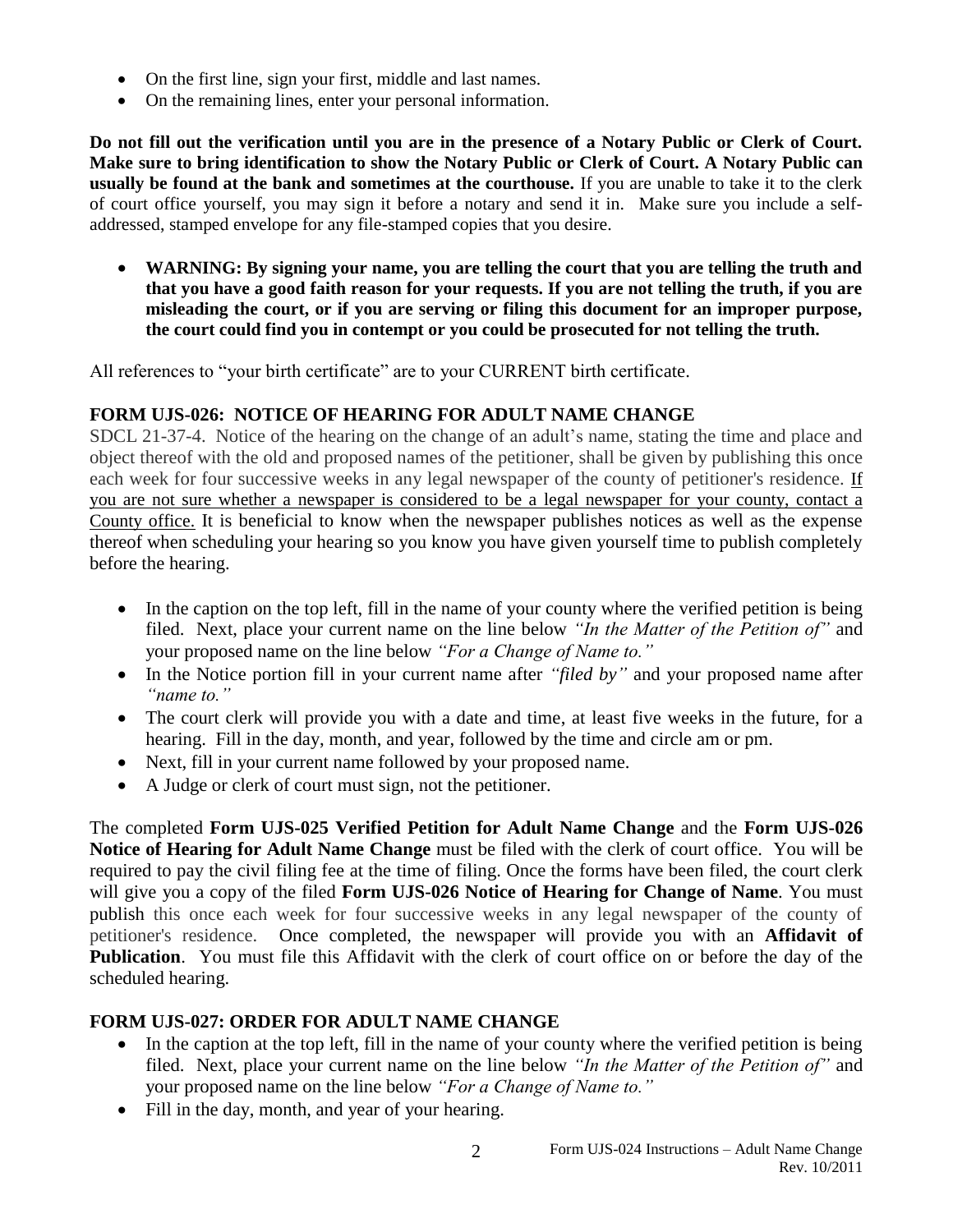- On the first line, sign your first, middle and last names.
- On the remaining lines, enter your personal information.

**Do not fill out the verification until you are in the presence of a Notary Public or Clerk of Court. Make sure to bring identification to show the Notary Public or Clerk of Court. A Notary Public can usually be found at the bank and sometimes at the courthouse.** If you are unable to take it to the clerk of court office yourself, you may sign it before a notary and send it in. Make sure you include a selfaddressed, stamped envelope for any file-stamped copies that you desire.

 **WARNING: By signing your name, you are telling the court that you are telling the truth and that you have a good faith reason for your requests. If you are not telling the truth, if you are misleading the court, or if you are serving or filing this document for an improper purpose, the court could find you in contempt or you could be prosecuted for not telling the truth.**

All references to "your birth certificate" are to your CURRENT birth certificate.

# **FORM UJS-026: NOTICE OF HEARING FOR ADULT NAME CHANGE**

SDCL 21-37-4. Notice of the hearing on the change of an adult's name, stating the time and place and object thereof with the old and proposed names of the petitioner, shall be given by publishing this once each week for four successive weeks in any legal newspaper of the county of petitioner's residence. If you are not sure whether a newspaper is considered to be a legal newspaper for your county, contact a County office. It is beneficial to know when the newspaper publishes notices as well as the expense thereof when scheduling your hearing so you know you have given yourself time to publish completely before the hearing.

- In the caption on the top left, fill in the name of your county where the verified petition is being filed. Next, place your current name on the line below *"In the Matter of the Petition of"* and your proposed name on the line below *"For a Change of Name to."*
- In the Notice portion fill in your current name after *"filed by"* and your proposed name after *"name to."*
- The court clerk will provide you with a date and time, at least five weeks in the future, for a hearing. Fill in the day, month, and year, followed by the time and circle am or pm.
- Next, fill in your current name followed by your proposed name.
- A Judge or clerk of court must sign, not the petitioner.

The completed **Form UJS-025 Verified Petition for Adult Name Change** and the **Form UJS-026 Notice of Hearing for Adult Name Change** must be filed with the clerk of court office. You will be required to pay the civil filing fee at the time of filing. Once the forms have been filed, the court clerk will give you a copy of the filed **Form UJS-026 Notice of Hearing for Change of Name**. You must publish this once each week for four successive weeks in any legal newspaper of the county of petitioner's residence. Once completed, the newspaper will provide you with an **Affidavit of Publication**. You must file this Affidavit with the clerk of court office on or before the day of the scheduled hearing.

## **FORM UJS-027: ORDER FOR ADULT NAME CHANGE**

- In the caption at the top left, fill in the name of your county where the verified petition is being filed. Next, place your current name on the line below *"In the Matter of the Petition of"* and your proposed name on the line below *"For a Change of Name to."*
- Fill in the day, month, and year of your hearing.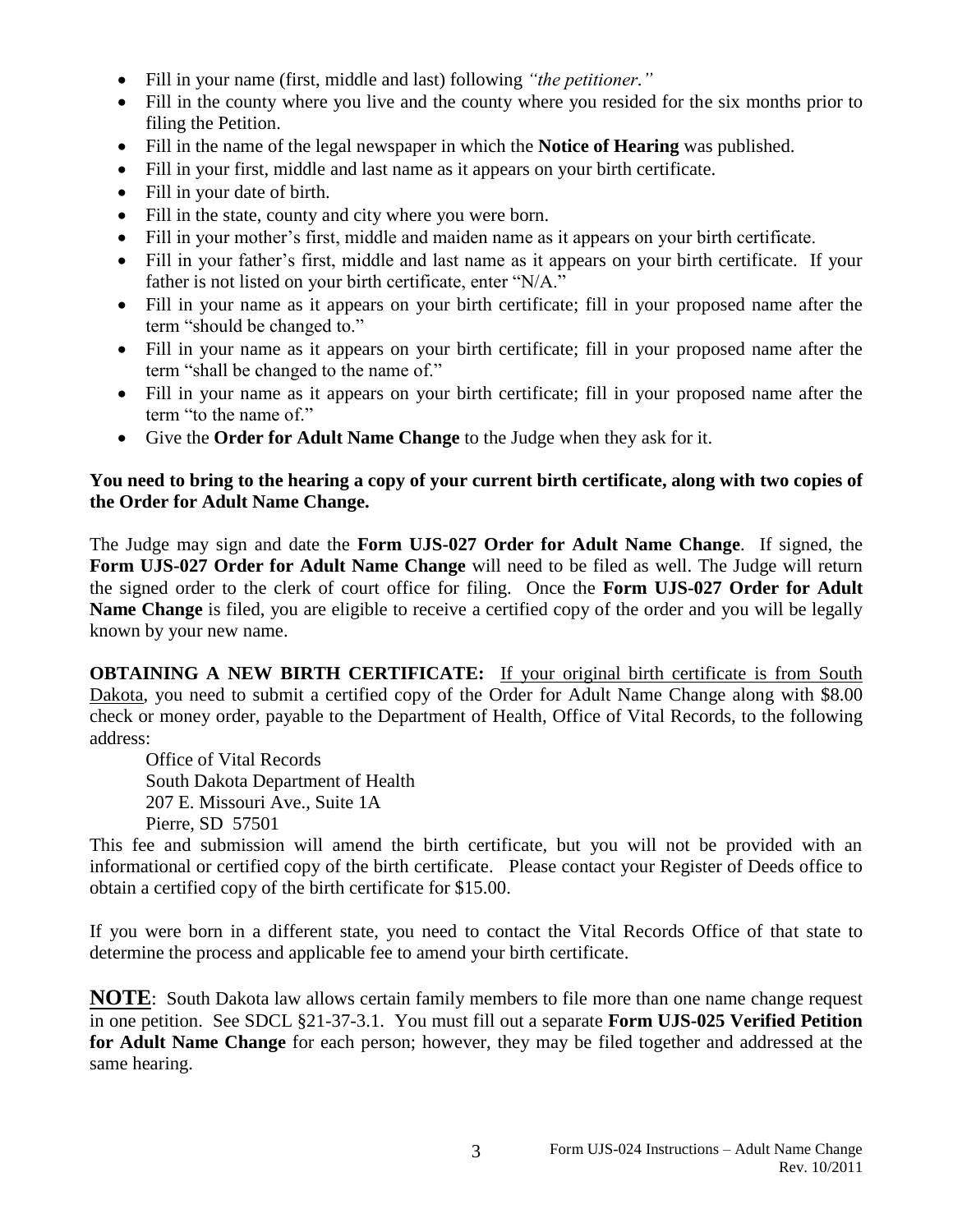- Fill in your name (first, middle and last) following *"the petitioner."*
- Fill in the county where you live and the county where you resided for the six months prior to filing the Petition.
- Fill in the name of the legal newspaper in which the **Notice of Hearing** was published.
- Fill in your first, middle and last name as it appears on your birth certificate.
- Fill in your date of birth.
- Fill in the state, county and city where you were born.
- Fill in your mother's first, middle and maiden name as it appears on your birth certificate.
- Fill in your father's first, middle and last name as it appears on your birth certificate. If your father is not listed on your birth certificate, enter "N/A."
- Fill in your name as it appears on your birth certificate; fill in your proposed name after the term "should be changed to."
- Fill in your name as it appears on your birth certificate; fill in your proposed name after the term "shall be changed to the name of."
- Fill in your name as it appears on your birth certificate; fill in your proposed name after the term "to the name of."
- Give the **Order for Adult Name Change** to the Judge when they ask for it.

#### **You need to bring to the hearing a copy of your current birth certificate, along with two copies of the Order for Adult Name Change.**

The Judge may sign and date the **Form UJS-027 Order for Adult Name Change**. If signed, the **Form UJS-027 Order for Adult Name Change** will need to be filed as well. The Judge will return the signed order to the clerk of court office for filing. Once the **Form UJS-027 Order for Adult Name Change** is filed, you are eligible to receive a certified copy of the order and you will be legally known by your new name.

**OBTAINING A NEW BIRTH CERTIFICATE:** If your original birth certificate is from South Dakota, you need to submit a certified copy of the Order for Adult Name Change along with \$8.00 check or money order, payable to the Department of Health, Office of Vital Records, to the following address:

Office of Vital Records South Dakota Department of Health 207 E. Missouri Ave., Suite 1A Pierre, SD 57501

This fee and submission will amend the birth certificate, but you will not be provided with an informational or certified copy of the birth certificate. Please contact your Register of Deeds office to obtain a certified copy of the birth certificate for \$15.00.

If you were born in a different state, you need to contact the Vital Records Office of that state to determine the process and applicable fee to amend your birth certificate.

**NOTE**: South Dakota law allows certain family members to file more than one name change request in one petition. See SDCL §21-37-3.1. You must fill out a separate **Form UJS-025 Verified Petition for Adult Name Change** for each person; however, they may be filed together and addressed at the same hearing.